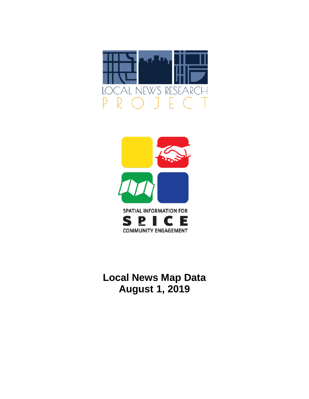



# **Local News Map Data August 1, 2019**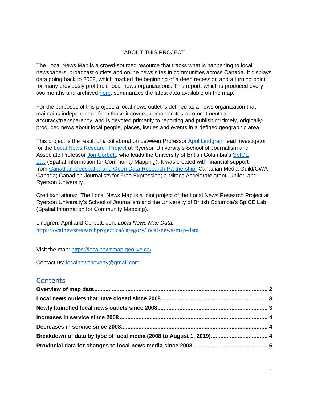### ABOUT THIS PROJECT

The Local News Map is a crowd-sourced resource that tracks what is happening to local newspapers, broadcast outlets and online news sites in communities across Canada. It displays data going back to 2008, which marked the beginning of a deep recession and a turning point for many previously profitable local news organizations. This report, which is produced every two months and archived [here,](http://localnewsresearchproject.ca/category/local-news-map-data) summarizes the latest data available on the map.

For the purposes of this project, a local news outlet is defined as a news organization that maintains independence from those it covers, demonstrates a commitment to accuracy/transparency, and is devoted primarily to reporting and publishing timely, originallyproduced news about local people, places, issues and events in a defined geographic area.

This project is the result of a collaboration between Professor [April Lindgren,](http://rsj.journalism.ryerson.ca/team/april-lindgren/) lead investigator for the [Local News Research Project](http://localnewsresearchproject.ca/) at Ryerson University's School of Journalism and Associate Professor [Jon Corbett,](http://joncorbett.com/JonCorbett/Home.html) who leads the University of British Columbia's SpICE [Lab](http://spice.geolive.ca/) (Spatial Information for Community Mapping). It was created with financial support from [Canadian Geospatial and Open Data Research Partnership;](http://geothink.ca/) Canadian Media Guild/CWA Canada; Canadian Journalists for Free Expression; a Mitacs Accelerate grant; Unifor; and Ryerson University.

Credits/citations: The Local News Map is a joint project of the Local News Research Project at Ryerson University's School of Journalism and the University of British Columbia's SpICE Lab (Spatial Information for Community Mapping).

Lindgren, April and Corbett, Jon. *Local News Map Data.*  <http://localnewsresearchproject.ca/category/local-news-map-data>

Visit the map:<https://localnewsmap.geolive.ca/>

Contact us: [localnewspoverty@gmail.com](mailto:localnewspoverty@gmail.com)

### **Contents**

| Breakdown of data by type of local media (2008 to August 1, 2019) 4 |  |
|---------------------------------------------------------------------|--|
|                                                                     |  |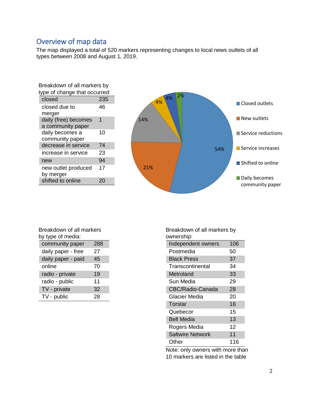# <span id="page-2-0"></span>Overview of map data

The map displayed a total of 520 markers representing changes to local news outlets of all types between 2008 and August 1, 2019.

| Breakdown of all markers by   |     |  |
|-------------------------------|-----|--|
| type of change that occurred: |     |  |
| closed                        | 235 |  |
| closed due to                 | 46  |  |
| merger                        |     |  |
| daily (free) becomes          | 1   |  |
| a community paper             |     |  |
| daily becomes a               | 10  |  |
| community paper               |     |  |
| decrease in service           | 74  |  |
| increase in service           | 23  |  |
| new                           | 94  |  |
| new outlet produced           | 17  |  |
| by merger                     |     |  |
| shifted to online             |     |  |



| Breakdown of all markers |  |     |  |
|--------------------------|--|-----|--|
| by type of media:        |  |     |  |
| community paper          |  | 288 |  |
|                          |  |     |  |

| daily paper - free | 27 |
|--------------------|----|
| daily paper - paid | 45 |
| online             | 70 |
| radio - private    | 19 |
| radio - public     | 11 |
| TV - private       | 32 |
| TV - public        | 28 |

Breakdown of all markers by ownership:

| uwuunuun,               |     |
|-------------------------|-----|
| Independent owners      | 106 |
| Postmedia               | 50  |
| <b>Black Press</b>      | 37  |
| Transcontinental        | 34  |
| Metroland               | 33  |
| Sun Media               | 29  |
| CBC/Radio-Canada        | 28  |
| Glacier Media           | 20  |
| Torstar                 | 16  |
| Quebecor                | 15  |
| <b>Bell Media</b>       | 13  |
| Rogers Media            | 12  |
| <b>Saltwire Network</b> | 11  |
| Other                   | 116 |
|                         |     |

Note: only owners with more than 10 markers are listed in the table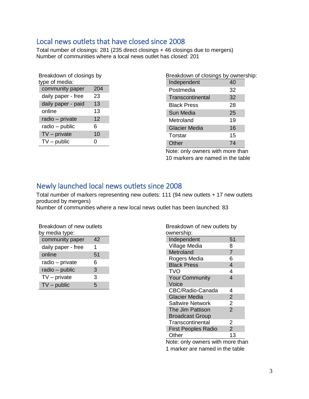## <span id="page-3-0"></span>Local news outlets that have closed since 2008

Total number of closings: 281 (235 direct closings + 46 closings due to mergers) Number of communities where a local news outlet has closed: 201

| Breakdown of closings by<br>type of media: |  |  |  |
|--------------------------------------------|--|--|--|
| 204                                        |  |  |  |
| 23                                         |  |  |  |
| 13                                         |  |  |  |
| 13                                         |  |  |  |
| 12                                         |  |  |  |
| 6                                          |  |  |  |
| 10                                         |  |  |  |
| 0                                          |  |  |  |
|                                            |  |  |  |

| Breakdown of closings by ownership: |    |  |
|-------------------------------------|----|--|
| Independent                         | 40 |  |
| Postmedia                           | 32 |  |
| Transcontinental                    | 32 |  |
| <b>Black Press</b>                  | 28 |  |
| Sun Media                           | 25 |  |
| Metroland                           | 19 |  |
| <b>Glacier Media</b>                | 16 |  |
| Torstar                             | 15 |  |
| Other                               | 74 |  |

Note: only owners with more than 10 markers are named in the table

# <span id="page-3-1"></span>Newly launched local news outlets since 2008

Total number of markers representing new outlets: 111 (94 new outlets + 17 new outlets produced by mergers)

Number of communities where a new local news outlet has been launched: 83

| Breakdown of new outlets<br>by media type: |    |  |  |
|--------------------------------------------|----|--|--|
| community paper                            | 42 |  |  |
| daily paper - free                         | 1  |  |  |
| online                                     | 51 |  |  |
| radio - private                            | 6  |  |  |
| radio - public                             | 3  |  |  |
| $TV$ – private                             | 3  |  |  |
| $TV$ – public                              | 5  |  |  |

| Breakdown of new outlets by<br>ownership: |                |
|-------------------------------------------|----------------|
| Independent                               | 51             |
| Village Media                             | 8              |
| Metroland                                 | $\overline{7}$ |
| Rogers Media                              | 6              |
| <b>Black Press</b>                        | 4              |
| TVO                                       | 4              |
| <b>Your Community</b>                     | 4              |
| Voice                                     |                |
| CBC/Radio-Canada                          | 4              |
| <b>Glacier Media</b>                      | $\overline{2}$ |
| <b>Saltwire Network</b>                   | $\overline{2}$ |
| The Jim Pattison                          | $\overline{2}$ |
| <b>Broadcast Group</b>                    |                |
| Transcontinental                          | 2              |
| <b>First Peoples Radio</b>                | $\overline{2}$ |
| Other                                     | 13             |
| .<br>н.                                   | σ.             |

Note: only owners with more than 1 marker are named in the table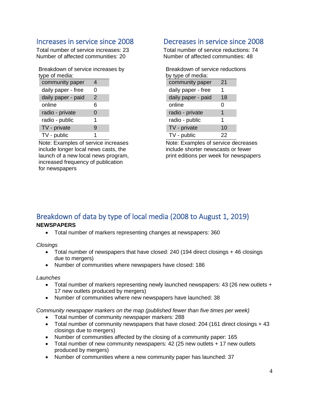## <span id="page-4-0"></span>Increases in service since 2008

Total number of service increases: 23 Number of affected communities: 20

Breakdown of service increases by type of media:

| community paper    |   |  |
|--------------------|---|--|
| daily paper - free | O |  |
| daily paper - paid | 2 |  |
| online             | 6 |  |
| radio - private    | 0 |  |
| radio - public     | 1 |  |
| TV - private       | 9 |  |
| TV - public        |   |  |

Note: Examples of service increases include longer local news casts, the launch of a new local news program, increased frequency of publication for newspapers

## <span id="page-4-1"></span>Decreases in service since 2008

Total number of service reductions: 74 Number of affected communities: 48

| Breakdown of service reductions |    |  |  |  |
|---------------------------------|----|--|--|--|
| by type of media:               |    |  |  |  |
| community paper                 | 21 |  |  |  |
| daily paper - free              | 1  |  |  |  |
| daily paper - paid              | 18 |  |  |  |
| online                          | 0  |  |  |  |
| radio - private                 | 1  |  |  |  |
| radio - public                  | 1  |  |  |  |
| TV - private                    | 10 |  |  |  |
| TV - public                     | 22 |  |  |  |

Note: Examples of service decreases include shorter newscasts or fewer print editions per week for newspapers

# <span id="page-4-2"></span>Breakdown of data by type of local media (2008 to August 1, 2019)

### **NEWSPAPERS**

• Total number of markers representing changes at newspapers: 360

*Closings*

- Total number of newspapers that have closed: 240 (194 direct closings + 46 closings due to mergers)
- Number of communities where newspapers have closed: 186

### *Launches*

- Total number of markers representing newly launched newspapers: 43 (26 new outlets + 17 new outlets produced by mergers)
- Number of communities where new newspapers have launched: 38

*Community newspaper markers on the map (published fewer than five times per week)* 

- Total number of community newspaper markers: 288
- Total number of community newspapers that have closed: 204 (161 direct closings + 43 closings due to mergers)
- Number of communities affected by the closing of a community paper: 165
- Total number of new community newspapers: 42 (25 new outlets + 17 new outlets produced by mergers)
- Number of communities where a new community paper has launched: 37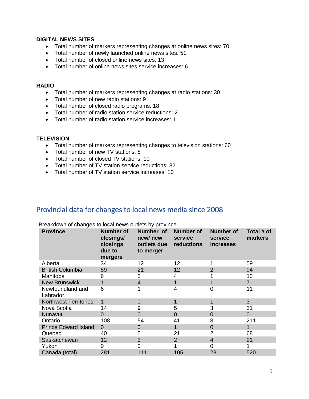### **DIGITAL NEWS SITES**

- Total number of markers representing changes at online news sites: 70
- Total number of newly launched online news sites: 51
- Total number of closed online news sites: 13
- Total number of online news sites service increases: 6

#### **RADIO**

- Total number of markers representing changes at radio stations: 30
- Total number of new radio stations: 9
- Total number of closed radio programs: 18
- Total number of radio station service reductions: 2
- Total number of radio station service increases: 1

### **TELEVISION**

- Total number of markers representing changes to television stations: 60
- Total number of new TV stations: 8
- Total number of closed TV stations: 10
- Total number of TV station service reductions: 32
- Total number of TV station service increases: 10

### <span id="page-5-0"></span>Provincial data for changes to local news media since 2008

| <b>Province</b>              | <b>Number of</b><br>closings/<br>closings<br>due to<br>mergers | Number of<br>new/new<br>outlets due<br>to merger | <b>Number of</b><br>service<br>reductions | <b>Number of</b><br>service<br><i>increases</i> | Total # of<br>markers |
|------------------------------|----------------------------------------------------------------|--------------------------------------------------|-------------------------------------------|-------------------------------------------------|-----------------------|
| Alberta                      | 34                                                             | 12                                               | 12                                        |                                                 | 59                    |
| <b>British Columbia</b>      | 59                                                             | 21                                               | 12                                        | $\overline{2}$                                  | 94                    |
| Manitoba                     | 6                                                              | 2                                                | 4                                         |                                                 | 13                    |
| <b>New Brunswick</b>         | 1                                                              | 4                                                |                                           |                                                 | $\overline{7}$        |
| Newfoundland and<br>Labrador | 6                                                              |                                                  | 4                                         | 0                                               | 11                    |
| <b>Northwest Territories</b> | 1                                                              | 0                                                |                                           | 1                                               | 3                     |
| Nova Scotia                  | 14                                                             | 9                                                | 5                                         | 3                                               | 31                    |
| Nunavut                      | $\Omega$                                                       | 0                                                | $\Omega$                                  | $\overline{0}$                                  | $\overline{0}$        |
| Ontario                      | 108                                                            | 54                                               | 41                                        | 8                                               | 211                   |
| <b>Prince Edward Island</b>  | $\Omega$                                                       | 0                                                |                                           | $\overline{0}$                                  | 1                     |
| Quebec                       | 40                                                             | 5                                                | 21                                        | $\overline{2}$                                  | 68                    |
| Saskatchewan                 | 12                                                             | 3                                                | 2                                         | $\overline{4}$                                  | 21                    |
| Yukon                        | 0                                                              | 0                                                |                                           | 0                                               |                       |
| Canada (total)               | 281                                                            | 111                                              | 105                                       | 23                                              | 520                   |

Breakdown of changes to local news outlets by province